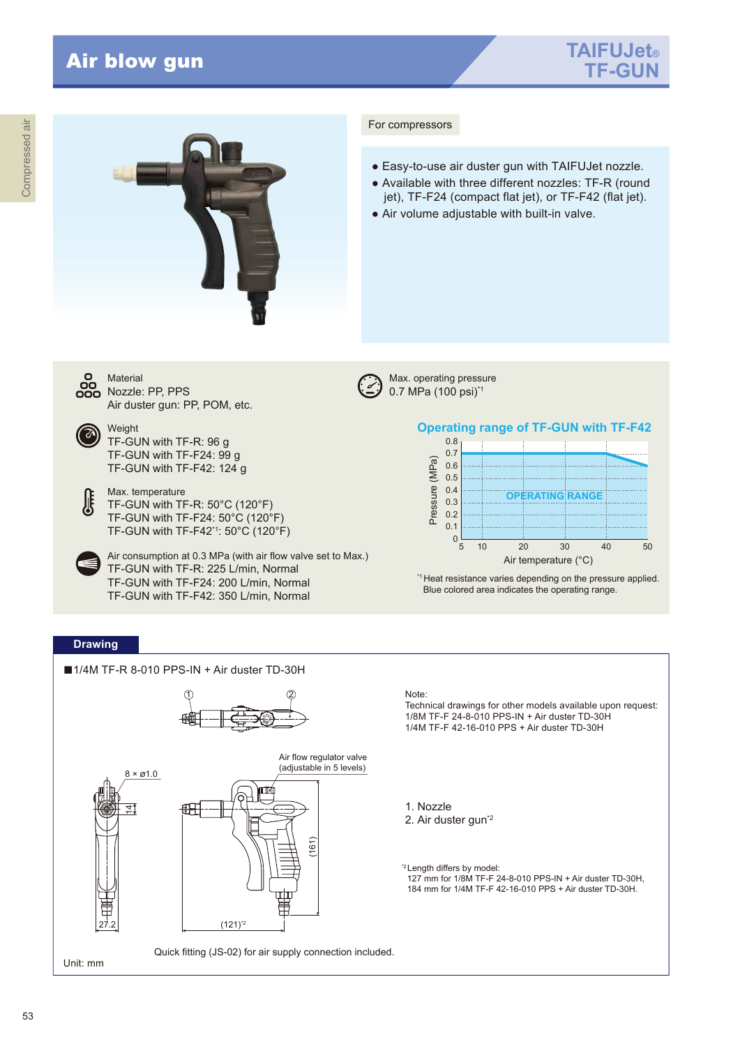



## For compressors

- Easy-to-use air duster gun with TAIFUJet nozzle.
- Available with three different nozzles: TF-R (round jet), TF-F24 (compact flat jet), or TF-F42 (flat jet).
- Air volume adjustable with built-in valve.



**Material** 

Air duster gun: PP, POM, etc. Weight TF-GUN with TF-R: 96 g TF-GUN with TF-F24: 99 g

TF-GUN with TF-F42: 124 g

Max. temperature TF-GUN with TF-R: 50°C (120°F) TF-GUN with TF-F24: 50°C (120°F) TF-GUN with TF-F42\*1: 50°C (120°F)

Air consumption at 0.3 MPa (with air flow valve set to Max.) TF-GUN with TF-R: 225 L/min, Normal TF-GUN with TF-F24: 200 L/min, Normal TF-GUN with TF-F42: 350 L/min, Normal

Max. operating pressure 0.7 MPa (100 psi)\*1





\*1Heat resistance varies depending on the pressure applied. Blue colored area indicates the operating range.

## **Drawing**